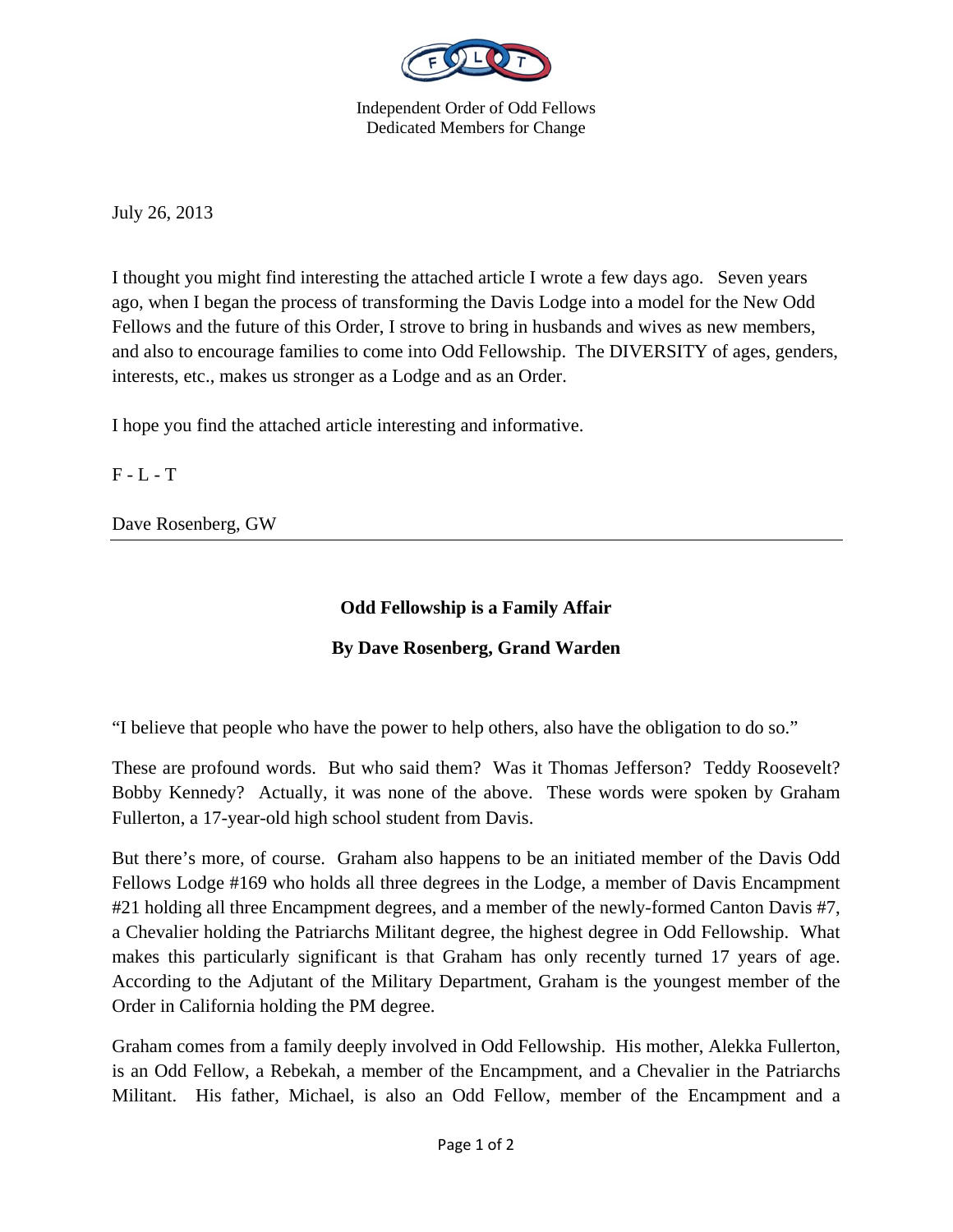

Independent Order of Odd Fellows Dedicated Members for Change

July 26, 2013

I thought you might find interesting the attached article I wrote a few days ago. Seven years ago, when I began the process of transforming the Davis Lodge into a model for the New Odd Fellows and the future of this Order, I strove to bring in husbands and wives as new members, and also to encourage families to come into Odd Fellowship. The DIVERSITY of ages, genders, interests, etc., makes us stronger as a Lodge and as an Order.

I hope you find the attached article interesting and informative.

 $F - L - T$ 

Dave Rosenberg, GW

## **Odd Fellowship is a Family Affair**

## **By Dave Rosenberg, Grand Warden**

"I believe that people who have the power to help others, also have the obligation to do so."

These are profound words. But who said them? Was it Thomas Jefferson? Teddy Roosevelt? Bobby Kennedy? Actually, it was none of the above. These words were spoken by Graham Fullerton, a 17-year-old high school student from Davis.

But there's more, of course. Graham also happens to be an initiated member of the Davis Odd Fellows Lodge #169 who holds all three degrees in the Lodge, a member of Davis Encampment #21 holding all three Encampment degrees, and a member of the newly-formed Canton Davis #7, a Chevalier holding the Patriarchs Militant degree, the highest degree in Odd Fellowship. What makes this particularly significant is that Graham has only recently turned 17 years of age. According to the Adjutant of the Military Department, Graham is the youngest member of the Order in California holding the PM degree.

Graham comes from a family deeply involved in Odd Fellowship. His mother, Alekka Fullerton, is an Odd Fellow, a Rebekah, a member of the Encampment, and a Chevalier in the Patriarchs Militant. His father, Michael, is also an Odd Fellow, member of the Encampment and a